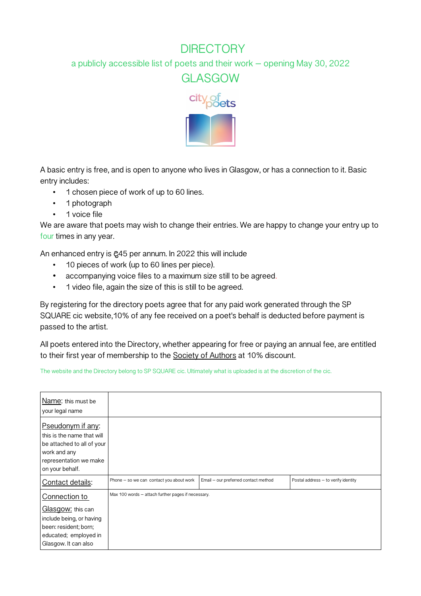## **DIRECTORY**

a publicly accessible list of poets and their work – opening May 30, 2022

GLASGOW



A basic entry is free, and is open to anyone who lives in Glasgow, or has a connection to it. Basic entry includes:

- 1 chosen piece of work of up to 60 lines.
- 1 photograph
- 1 voice file

We are aware that poets may wish to change their entries. We are happy to change your entry up to **four** times in any year.

An enhanced entry is £45 per annum. In 2022 this will include

- 10 pieces of work (up to 60 lines per piece).
- accompanying voice files to a maximum size still to be agreed.
- 1 video file, again the size of this is still to be agreed.

By registering for the directory poets agree that for any paid work generated through the SP SQUARE cic website,10% of any fee received on a poet's behalf is deducted before payment is passed to the artist.

All poets entered into the Directory, whether appearing for free or paying an annual fee, are entitled to their first year of membership to the Society of Authors at 10% discount.

The website and the Directory belong to SP SQUARE cic. Ultimately what is uploaded is at the discretion of the cic.

| Name: this must be<br>your legal name                                                                                                      |                                                    |                                      |                                     |
|--------------------------------------------------------------------------------------------------------------------------------------------|----------------------------------------------------|--------------------------------------|-------------------------------------|
| Pseudonym if any:<br>this is the name that will<br>be attached to all of your<br>work and any<br>representation we make<br>on your behalf. |                                                    |                                      |                                     |
| Contact details:                                                                                                                           | Phone - so we can contact you about work           | Email - our preferred contact method | Postal address - to verify identity |
| Connection to<br>Glasgow: this can<br>include being, or having<br>been: resident; born;<br>educated; employed in<br>Glasgow. It can also   | Max 100 words - attach further pages if necessary. |                                      |                                     |